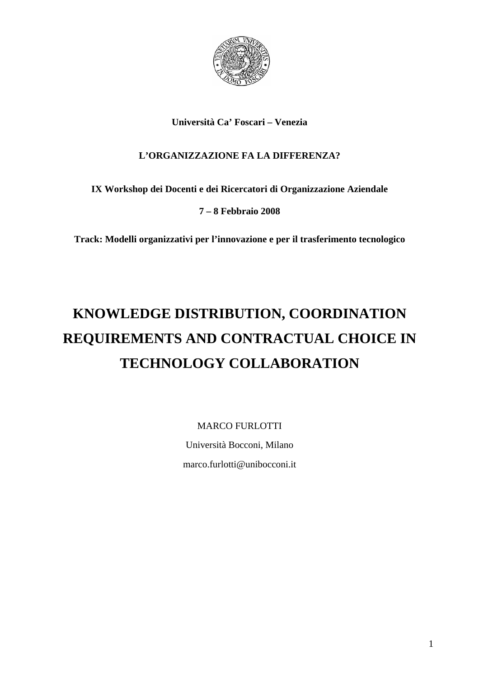

# **Università Ca' Foscari – Venezia**

# **L'ORGANIZZAZIONE FA LA DIFFERENZA?**

# **IX Workshop dei Docenti e dei Ricercatori di Organizzazione Aziendale**

# **7 – 8 Febbraio 2008**

**Track: Modelli organizzativi per l'innovazione e per il trasferimento tecnologico** 

# **KNOWLEDGE DISTRIBUTION, COORDINATION REQUIREMENTS AND CONTRACTUAL CHOICE IN TECHNOLOGY COLLABORATION**

MARCO FURLOTTI

Università Bocconi, Milano marco.furlotti@unibocconi.it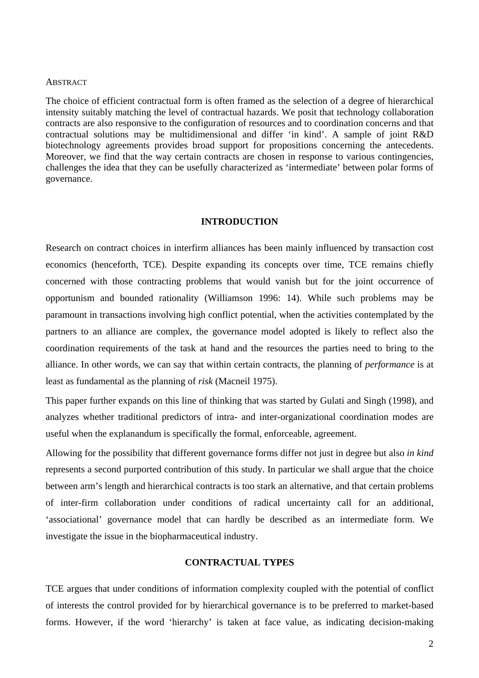#### **ABSTRACT**

The choice of efficient contractual form is often framed as the selection of a degree of hierarchical intensity suitably matching the level of contractual hazards. We posit that technology collaboration contracts are also responsive to the configuration of resources and to coordination concerns and that contractual solutions may be multidimensional and differ 'in kind'. A sample of joint R&D biotechnology agreements provides broad support for propositions concerning the antecedents. Moreover, we find that the way certain contracts are chosen in response to various contingencies, challenges the idea that they can be usefully characterized as 'intermediate' between polar forms of governance.

#### **INTRODUCTION**

Research on contract choices in interfirm alliances has been mainly influenced by transaction cost economics (henceforth, TCE). Despite expanding its concepts over time, TCE remains chiefly concerned with those contracting problems that would vanish but for the joint occurrence of opportunism and bounded rationality (Williamson 1996: 14). While such problems may be paramount in transactions involving high conflict potential, when the activities contemplated by the partners to an alliance are complex, the governance model adopted is likely to reflect also the coordination requirements of the task at hand and the resources the parties need to bring to the alliance. In other words, we can say that within certain contracts, the planning of *performance* is at least as fundamental as the planning of *risk* (Macneil 1975).

This paper further expands on this line of thinking that was started by Gulati and Singh (1998), and analyzes whether traditional predictors of intra- and inter-organizational coordination modes are useful when the explanandum is specifically the formal, enforceable, agreement.

Allowing for the possibility that different governance forms differ not just in degree but also *in kind*  represents a second purported contribution of this study. In particular we shall argue that the choice between arm's length and hierarchical contracts is too stark an alternative, and that certain problems of inter-firm collaboration under conditions of radical uncertainty call for an additional, 'associational' governance model that can hardly be described as an intermediate form. We investigate the issue in the biopharmaceutical industry.

#### **CONTRACTUAL TYPES**

TCE argues that under conditions of information complexity coupled with the potential of conflict of interests the control provided for by hierarchical governance is to be preferred to market-based forms. However, if the word 'hierarchy' is taken at face value, as indicating decision-making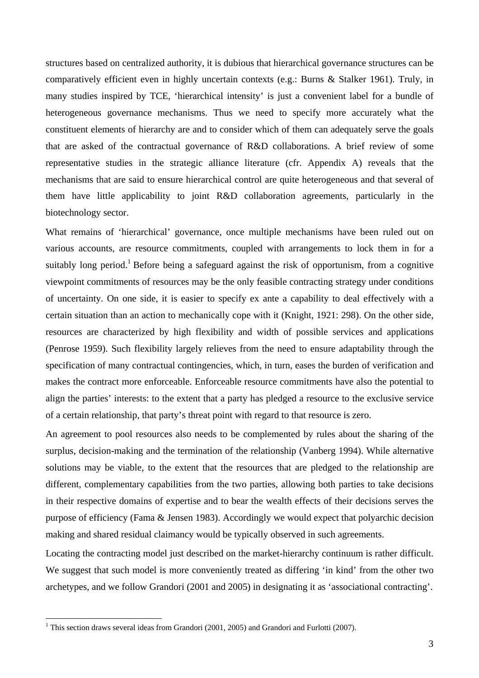structures based on centralized authority, it is dubious that hierarchical governance structures can be comparatively efficient even in highly uncertain contexts (e.g.: Burns & Stalker 1961). Truly, in many studies inspired by TCE, 'hierarchical intensity' is just a convenient label for a bundle of heterogeneous governance mechanisms. Thus we need to specify more accurately what the constituent elements of hierarchy are and to consider which of them can adequately serve the goals that are asked of the contractual governance of R&D collaborations. A brief review of some representative studies in the strategic alliance literature (cfr. Appendix A) reveals that the mechanisms that are said to ensure hierarchical control are quite heterogeneous and that several of them have little applicability to joint R&D collaboration agreements, particularly in the biotechnology sector.

What remains of 'hierarchical' governance, once multiple mechanisms have been ruled out on various accounts, are resource commitments, coupled with arrangements to lock them in for a suitably long period.<sup>1</sup> Before being a safeguard against the risk of opportunism, from a cognitive viewpoint commitments of resources may be the only feasible contracting strategy under conditions of uncertainty. On one side, it is easier to specify ex ante a capability to deal effectively with a certain situation than an action to mechanically cope with it (Knight, 1921: 298). On the other side, resources are characterized by high flexibility and width of possible services and applications (Penrose 1959). Such flexibility largely relieves from the need to ensure adaptability through the specification of many contractual contingencies, which, in turn, eases the burden of verification and makes the contract more enforceable. Enforceable resource commitments have also the potential to align the parties' interests: to the extent that a party has pledged a resource to the exclusive service of a certain relationship, that party's threat point with regard to that resource is zero.

An agreement to pool resources also needs to be complemented by rules about the sharing of the surplus, decision-making and the termination of the relationship (Vanberg 1994). While alternative solutions may be viable, to the extent that the resources that are pledged to the relationship are different, complementary capabilities from the two parties, allowing both parties to take decisions in their respective domains of expertise and to bear the wealth effects of their decisions serves the purpose of efficiency (Fama & Jensen 1983). Accordingly we would expect that polyarchic decision making and shared residual claimancy would be typically observed in such agreements.

Locating the contracting model just described on the market-hierarchy continuum is rather difficult. We suggest that such model is more conveniently treated as differing 'in kind' from the other two archetypes, and we follow Grandori (2001 and 2005) in designating it as 'associational contracting'.

 $\overline{a}$ 

<sup>&</sup>lt;sup>1</sup> This section draws several ideas from Grandori (2001, 2005) and Grandori and Furlotti (2007).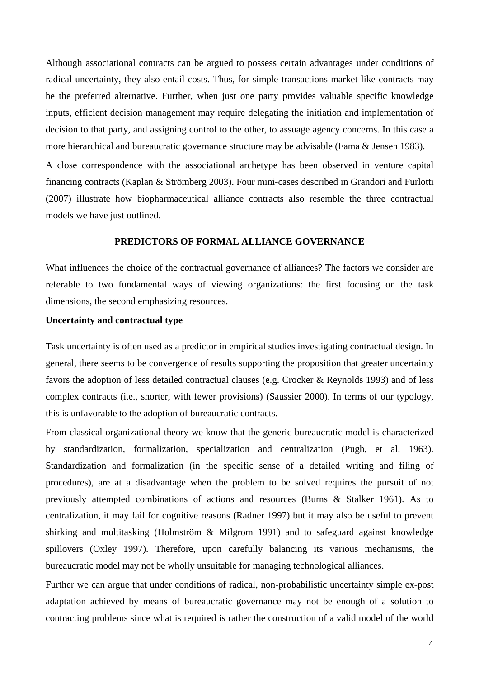Although associational contracts can be argued to possess certain advantages under conditions of radical uncertainty, they also entail costs. Thus, for simple transactions market-like contracts may be the preferred alternative. Further, when just one party provides valuable specific knowledge inputs, efficient decision management may require delegating the initiation and implementation of decision to that party, and assigning control to the other, to assuage agency concerns. In this case a more hierarchical and bureaucratic governance structure may be advisable (Fama & Jensen 1983).

A close correspondence with the associational archetype has been observed in venture capital financing contracts (Kaplan & Strömberg 2003). Four mini-cases described in Grandori and Furlotti (2007) illustrate how biopharmaceutical alliance contracts also resemble the three contractual models we have just outlined.

#### **PREDICTORS OF FORMAL ALLIANCE GOVERNANCE**

What influences the choice of the contractual governance of alliances? The factors we consider are referable to two fundamental ways of viewing organizations: the first focusing on the task dimensions, the second emphasizing resources.

#### **Uncertainty and contractual type**

Task uncertainty is often used as a predictor in empirical studies investigating contractual design. In general, there seems to be convergence of results supporting the proposition that greater uncertainty favors the adoption of less detailed contractual clauses (e.g. Crocker & Reynolds 1993) and of less complex contracts (i.e., shorter, with fewer provisions) (Saussier 2000). In terms of our typology, this is unfavorable to the adoption of bureaucratic contracts.

From classical organizational theory we know that the generic bureaucratic model is characterized by standardization, formalization, specialization and centralization (Pugh, et al. 1963). Standardization and formalization (in the specific sense of a detailed writing and filing of procedures), are at a disadvantage when the problem to be solved requires the pursuit of not previously attempted combinations of actions and resources (Burns & Stalker 1961). As to centralization, it may fail for cognitive reasons (Radner 1997) but it may also be useful to prevent shirking and multitasking (Holmström & Milgrom 1991) and to safeguard against knowledge spillovers (Oxley 1997). Therefore, upon carefully balancing its various mechanisms, the bureaucratic model may not be wholly unsuitable for managing technological alliances.

Further we can argue that under conditions of radical, non-probabilistic uncertainty simple ex-post adaptation achieved by means of bureaucratic governance may not be enough of a solution to contracting problems since what is required is rather the construction of a valid model of the world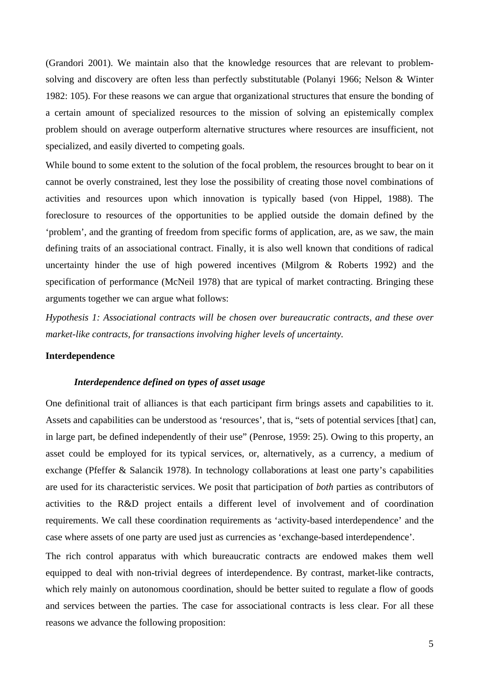(Grandori 2001). We maintain also that the knowledge resources that are relevant to problemsolving and discovery are often less than perfectly substitutable (Polanyi 1966; Nelson & Winter 1982: 105). For these reasons we can argue that organizational structures that ensure the bonding of a certain amount of specialized resources to the mission of solving an epistemically complex problem should on average outperform alternative structures where resources are insufficient, not specialized, and easily diverted to competing goals.

While bound to some extent to the solution of the focal problem, the resources brought to bear on it cannot be overly constrained, lest they lose the possibility of creating those novel combinations of activities and resources upon which innovation is typically based (von Hippel, 1988). The foreclosure to resources of the opportunities to be applied outside the domain defined by the 'problem', and the granting of freedom from specific forms of application, are, as we saw, the main defining traits of an associational contract. Finally, it is also well known that conditions of radical uncertainty hinder the use of high powered incentives (Milgrom & Roberts 1992) and the specification of performance (McNeil 1978) that are typical of market contracting. Bringing these arguments together we can argue what follows:

*Hypothesis 1: Associational contracts will be chosen over bureaucratic contracts, and these over market-like contracts, for transactions involving higher levels of uncertainty.* 

#### **Interdependence**

#### *Interdependence defined on types of asset usage*

One definitional trait of alliances is that each participant firm brings assets and capabilities to it. Assets and capabilities can be understood as 'resources', that is, "sets of potential services [that] can, in large part, be defined independently of their use" (Penrose, 1959: 25). Owing to this property, an asset could be employed for its typical services, or, alternatively, as a currency, a medium of exchange (Pfeffer & Salancik 1978). In technology collaborations at least one party's capabilities are used for its characteristic services. We posit that participation of *both* parties as contributors of activities to the R&D project entails a different level of involvement and of coordination requirements. We call these coordination requirements as 'activity-based interdependence' and the case where assets of one party are used just as currencies as 'exchange-based interdependence'.

The rich control apparatus with which bureaucratic contracts are endowed makes them well equipped to deal with non-trivial degrees of interdependence. By contrast, market-like contracts, which rely mainly on autonomous coordination, should be better suited to regulate a flow of goods and services between the parties. The case for associational contracts is less clear. For all these reasons we advance the following proposition: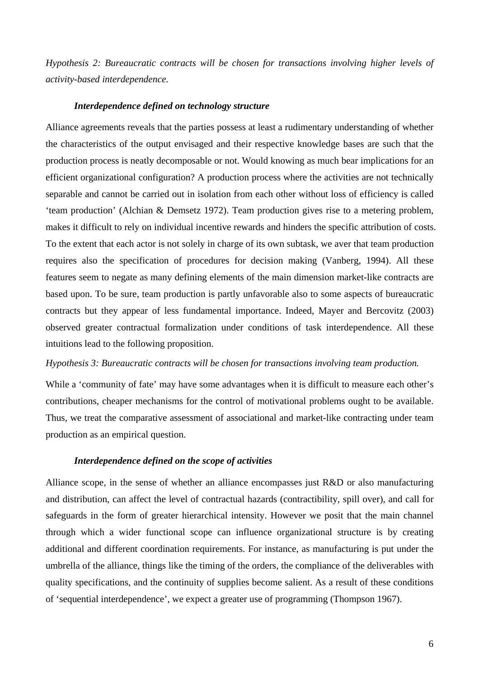*Hypothesis 2: Bureaucratic contracts will be chosen for transactions involving higher levels of activity-based interdependence.* 

#### *Interdependence defined on technology structure*

Alliance agreements reveals that the parties possess at least a rudimentary understanding of whether the characteristics of the output envisaged and their respective knowledge bases are such that the production process is neatly decomposable or not. Would knowing as much bear implications for an efficient organizational configuration? A production process where the activities are not technically separable and cannot be carried out in isolation from each other without loss of efficiency is called 'team production' (Alchian & Demsetz 1972). Team production gives rise to a metering problem, makes it difficult to rely on individual incentive rewards and hinders the specific attribution of costs. To the extent that each actor is not solely in charge of its own subtask, we aver that team production requires also the specification of procedures for decision making (Vanberg, 1994). All these features seem to negate as many defining elements of the main dimension market-like contracts are based upon. To be sure, team production is partly unfavorable also to some aspects of bureaucratic contracts but they appear of less fundamental importance. Indeed, Mayer and Bercovitz (2003) observed greater contractual formalization under conditions of task interdependence. All these intuitions lead to the following proposition.

#### *Hypothesis 3: Bureaucratic contracts will be chosen for transactions involving team production.*

While a 'community of fate' may have some advantages when it is difficult to measure each other's contributions, cheaper mechanisms for the control of motivational problems ought to be available. Thus, we treat the comparative assessment of associational and market-like contracting under team production as an empirical question.

#### *Interdependence defined on the scope of activities*

Alliance scope, in the sense of whether an alliance encompasses just R&D or also manufacturing and distribution, can affect the level of contractual hazards (contractibility, spill over), and call for safeguards in the form of greater hierarchical intensity. However we posit that the main channel through which a wider functional scope can influence organizational structure is by creating additional and different coordination requirements. For instance, as manufacturing is put under the umbrella of the alliance, things like the timing of the orders, the compliance of the deliverables with quality specifications, and the continuity of supplies become salient. As a result of these conditions of 'sequential interdependence', we expect a greater use of programming (Thompson 1967).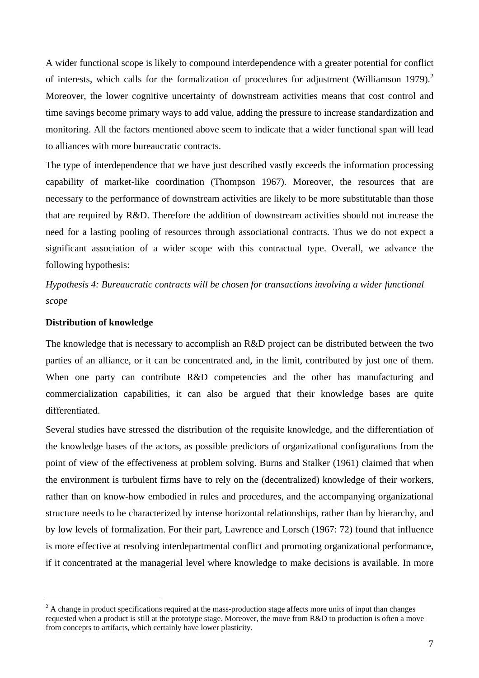A wider functional scope is likely to compound interdependence with a greater potential for conflict of interests, which calls for the formalization of procedures for adjustment (Williamson 1979).<sup>2</sup> Moreover, the lower cognitive uncertainty of downstream activities means that cost control and time savings become primary ways to add value, adding the pressure to increase standardization and monitoring. All the factors mentioned above seem to indicate that a wider functional span will lead to alliances with more bureaucratic contracts.

The type of interdependence that we have just described vastly exceeds the information processing capability of market-like coordination (Thompson 1967). Moreover, the resources that are necessary to the performance of downstream activities are likely to be more substitutable than those that are required by R&D. Therefore the addition of downstream activities should not increase the need for a lasting pooling of resources through associational contracts. Thus we do not expect a significant association of a wider scope with this contractual type. Overall, we advance the following hypothesis:

*Hypothesis 4: Bureaucratic contracts will be chosen for transactions involving a wider functional scope* 

#### **Distribution of knowledge**

The knowledge that is necessary to accomplish an R&D project can be distributed between the two parties of an alliance, or it can be concentrated and, in the limit, contributed by just one of them. When one party can contribute R&D competencies and the other has manufacturing and commercialization capabilities, it can also be argued that their knowledge bases are quite differentiated.

Several studies have stressed the distribution of the requisite knowledge, and the differentiation of the knowledge bases of the actors, as possible predictors of organizational configurations from the point of view of the effectiveness at problem solving. Burns and Stalker (1961) claimed that when the environment is turbulent firms have to rely on the (decentralized) knowledge of their workers, rather than on know-how embodied in rules and procedures, and the accompanying organizational structure needs to be characterized by intense horizontal relationships, rather than by hierarchy, and by low levels of formalization. For their part, Lawrence and Lorsch (1967: 72) found that influence is more effective at resolving interdepartmental conflict and promoting organizational performance, if it concentrated at the managerial level where knowledge to make decisions is available. In more

<sup>&</sup>lt;sup>2</sup> A change in product specifications required at the mass-production stage affects more units of input than changes requested when a product is still at the prototype stage. Moreover, the move from R&D to production is often a move from concepts to artifacts, which certainly have lower plasticity.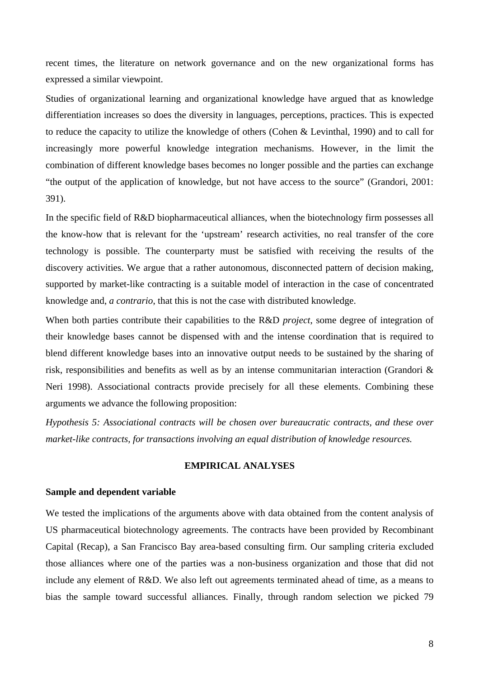recent times, the literature on network governance and on the new organizational forms has expressed a similar viewpoint.

Studies of organizational learning and organizational knowledge have argued that as knowledge differentiation increases so does the diversity in languages, perceptions, practices. This is expected to reduce the capacity to utilize the knowledge of others (Cohen & Levinthal, 1990) and to call for increasingly more powerful knowledge integration mechanisms. However, in the limit the combination of different knowledge bases becomes no longer possible and the parties can exchange "the output of the application of knowledge, but not have access to the source" (Grandori, 2001: 391).

In the specific field of R&D biopharmaceutical alliances, when the biotechnology firm possesses all the know-how that is relevant for the 'upstream' research activities, no real transfer of the core technology is possible. The counterparty must be satisfied with receiving the results of the discovery activities. We argue that a rather autonomous, disconnected pattern of decision making, supported by market-like contracting is a suitable model of interaction in the case of concentrated knowledge and, *a contrario*, that this is not the case with distributed knowledge.

When both parties contribute their capabilities to the R&D *project*, some degree of integration of their knowledge bases cannot be dispensed with and the intense coordination that is required to blend different knowledge bases into an innovative output needs to be sustained by the sharing of risk, responsibilities and benefits as well as by an intense communitarian interaction (Grandori & Neri 1998). Associational contracts provide precisely for all these elements. Combining these arguments we advance the following proposition:

*Hypothesis 5: Associational contracts will be chosen over bureaucratic contracts, and these over market-like contracts, for transactions involving an equal distribution of knowledge resources.* 

#### **EMPIRICAL ANALYSES**

#### **Sample and dependent variable**

We tested the implications of the arguments above with data obtained from the content analysis of US pharmaceutical biotechnology agreements. The contracts have been provided by Recombinant Capital (Recap), a San Francisco Bay area-based consulting firm. Our sampling criteria excluded those alliances where one of the parties was a non-business organization and those that did not include any element of R&D. We also left out agreements terminated ahead of time, as a means to bias the sample toward successful alliances. Finally, through random selection we picked 79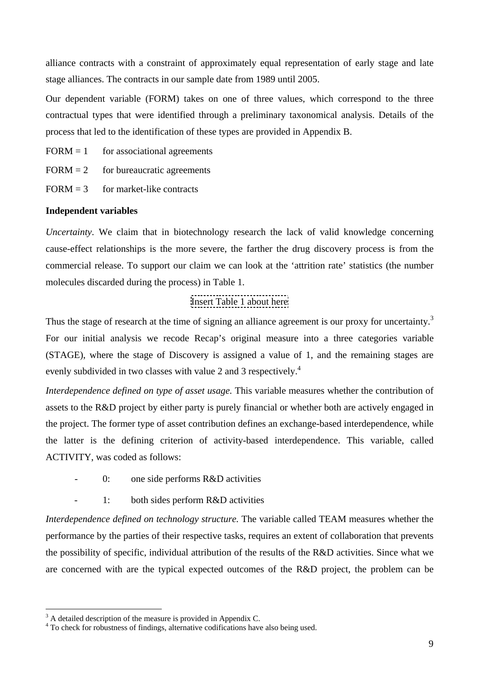alliance contracts with a constraint of approximately equal representation of early stage and late stage alliances. The contracts in our sample date from 1989 until 2005.

Our dependent variable (FORM) takes on one of three values, which correspond to the three contractual types that were identified through a preliminary taxonomical analysis. Details of the process that led to the identification of these types are provided in Appendix B.

 $FORM = 1$  for associational agreements

 $FORM = 2$  for bureaucratic agreements

 $FORM = 3$  for market-like contracts

#### **Independent variables**

*Uncertainty*. We claim that in biotechnology research the lack of valid knowledge concerning cause-effect relationships is the more severe, the farther the drug discovery process is from the commercial release. To support our claim we can look at the 'attrition rate' statistics (the number molecules discarded during the process) in Table 1.

# Insert Table 1 about here

Thus the stage of research at the time of signing an alliance agreement is our proxy for uncertainty.<sup>3</sup> For our initial analysis we recode Recap's original measure into a three categories variable (STAGE), where the stage of Discovery is assigned a value of 1, and the remaining stages are evenly subdivided in two classes with value 2 and 3 respectively.<sup>4</sup>

*Interdependence defined on type of asset usage.* This variable measures whether the contribution of assets to the R&D project by either party is purely financial or whether both are actively engaged in the project. The former type of asset contribution defines an exchange-based interdependence, while the latter is the defining criterion of activity-based interdependence. This variable, called ACTIVITY, was coded as follows:

- 0: one side performs R&D activities
- 1: both sides perform R&D activities

*Interdependence defined on technology structure.* The variable called TEAM measures whether the performance by the parties of their respective tasks, requires an extent of collaboration that prevents the possibility of specific, individual attribution of the results of the R&D activities. Since what we are concerned with are the typical expected outcomes of the R&D project, the problem can be

 $\overline{a}$ 

 $3<sup>3</sup>$  A detailed description of the measure is provided in Appendix C.

<sup>&</sup>lt;sup>4</sup> To check for robustness of findings, alternative codifications have also being used.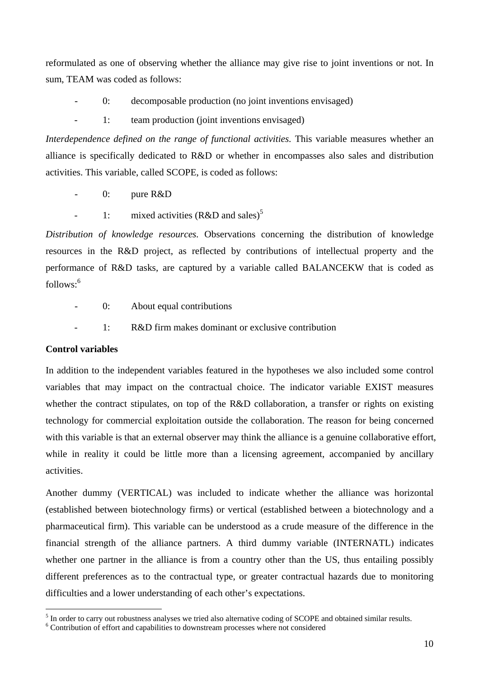reformulated as one of observing whether the alliance may give rise to joint inventions or not. In sum, TEAM was coded as follows:

- 0: decomposable production (no joint inventions envisaged)
	- 1: team production (joint inventions envisaged)

*Interdependence defined on the range of functional activities. This variable measures whether an* alliance is specifically dedicated to R&D or whether in encompasses also sales and distribution activities. This variable, called SCOPE, is coded as follows:

- 0: pure R&D
- 1: mixed activities  $(R&D \text{ and sales})^5$

*Distribution of knowledge resources.* Observations concerning the distribution of knowledge resources in the R&D project, as reflected by contributions of intellectual property and the performance of R&D tasks, are captured by a variable called BALANCEKW that is coded as follows:<sup>6</sup>

- 0: About equal contributions
- 1: R&D firm makes dominant or exclusive contribution

#### **Control variables**

 $\overline{a}$ 

In addition to the independent variables featured in the hypotheses we also included some control variables that may impact on the contractual choice. The indicator variable EXIST measures whether the contract stipulates, on top of the R&D collaboration, a transfer or rights on existing technology for commercial exploitation outside the collaboration. The reason for being concerned with this variable is that an external observer may think the alliance is a genuine collaborative effort, while in reality it could be little more than a licensing agreement, accompanied by ancillary activities.

Another dummy (VERTICAL) was included to indicate whether the alliance was horizontal (established between biotechnology firms) or vertical (established between a biotechnology and a pharmaceutical firm). This variable can be understood as a crude measure of the difference in the financial strength of the alliance partners. A third dummy variable (INTERNATL) indicates whether one partner in the alliance is from a country other than the US, thus entailing possibly different preferences as to the contractual type, or greater contractual hazards due to monitoring difficulties and a lower understanding of each other's expectations.

 $<sup>5</sup>$  In order to carry out robustness analyses we tried also alternative coding of SCOPE and obtained similar results.</sup>

<sup>&</sup>lt;sup>6</sup> Contribution of effort and capabilities to downstream processes where not considered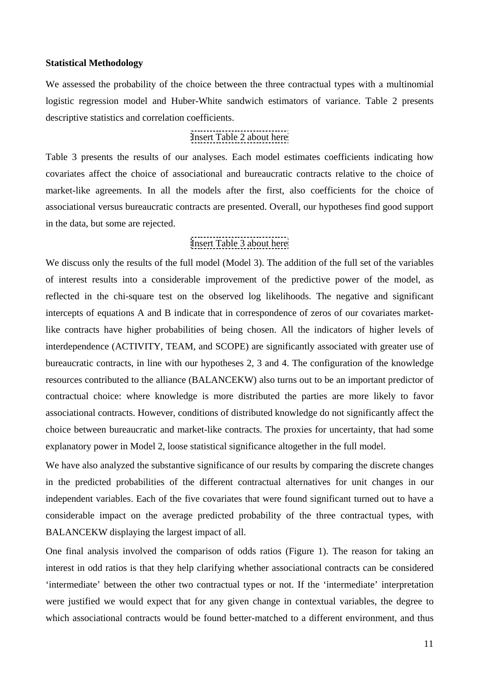#### **Statistical Methodology**

We assessed the probability of the choice between the three contractual types with a multinomial logistic regression model and Huber-White sandwich estimators of variance. Table 2 presents descriptive statistics and correlation coefficients.

# Insert Table 2 about here

Table 3 presents the results of our analyses. Each model estimates coefficients indicating how covariates affect the choice of associational and bureaucratic contracts relative to the choice of market-like agreements. In all the models after the first, also coefficients for the choice of associational versus bureaucratic contracts are presented. Overall, our hypotheses find good support in the data, but some are rejected.

# Insert Table 3 about here

We discuss only the results of the full model (Model 3). The addition of the full set of the variables of interest results into a considerable improvement of the predictive power of the model, as reflected in the chi-square test on the observed log likelihoods. The negative and significant intercepts of equations A and B indicate that in correspondence of zeros of our covariates marketlike contracts have higher probabilities of being chosen. All the indicators of higher levels of interdependence (ACTIVITY, TEAM, and SCOPE) are significantly associated with greater use of bureaucratic contracts, in line with our hypotheses 2, 3 and 4. The configuration of the knowledge resources contributed to the alliance (BALANCEKW) also turns out to be an important predictor of contractual choice: where knowledge is more distributed the parties are more likely to favor associational contracts. However, conditions of distributed knowledge do not significantly affect the choice between bureaucratic and market-like contracts. The proxies for uncertainty, that had some explanatory power in Model 2, loose statistical significance altogether in the full model.

We have also analyzed the substantive significance of our results by comparing the discrete changes in the predicted probabilities of the different contractual alternatives for unit changes in our independent variables. Each of the five covariates that were found significant turned out to have a considerable impact on the average predicted probability of the three contractual types, with BALANCEKW displaying the largest impact of all.

One final analysis involved the comparison of odds ratios (Figure 1). The reason for taking an interest in odd ratios is that they help clarifying whether associational contracts can be considered 'intermediate' between the other two contractual types or not. If the 'intermediate' interpretation were justified we would expect that for any given change in contextual variables, the degree to which associational contracts would be found better-matched to a different environment, and thus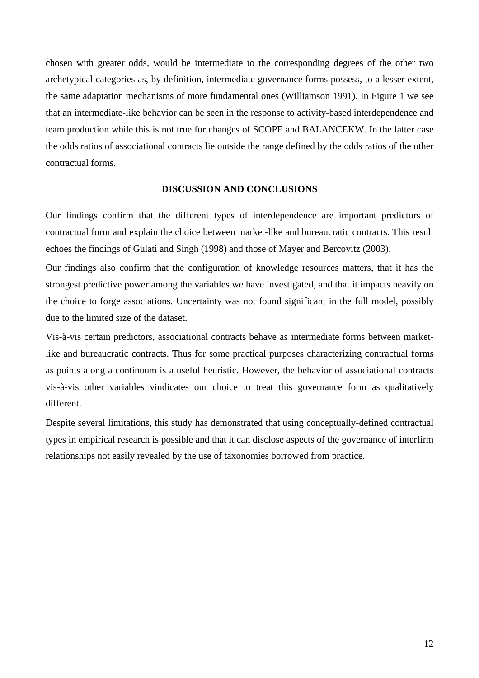chosen with greater odds, would be intermediate to the corresponding degrees of the other two archetypical categories as, by definition, intermediate governance forms possess, to a lesser extent, the same adaptation mechanisms of more fundamental ones (Williamson 1991). In Figure 1 we see that an intermediate-like behavior can be seen in the response to activity-based interdependence and team production while this is not true for changes of SCOPE and BALANCEKW. In the latter case the odds ratios of associational contracts lie outside the range defined by the odds ratios of the other contractual forms.

#### **DISCUSSION AND CONCLUSIONS**

Our findings confirm that the different types of interdependence are important predictors of contractual form and explain the choice between market-like and bureaucratic contracts. This result echoes the findings of Gulati and Singh (1998) and those of Mayer and Bercovitz (2003).

Our findings also confirm that the configuration of knowledge resources matters, that it has the strongest predictive power among the variables we have investigated, and that it impacts heavily on the choice to forge associations. Uncertainty was not found significant in the full model, possibly due to the limited size of the dataset.

Vis-à-vis certain predictors, associational contracts behave as intermediate forms between marketlike and bureaucratic contracts. Thus for some practical purposes characterizing contractual forms as points along a continuum is a useful heuristic. However, the behavior of associational contracts vis-à-vis other variables vindicates our choice to treat this governance form as qualitatively different.

Despite several limitations, this study has demonstrated that using conceptually-defined contractual types in empirical research is possible and that it can disclose aspects of the governance of interfirm relationships not easily revealed by the use of taxonomies borrowed from practice.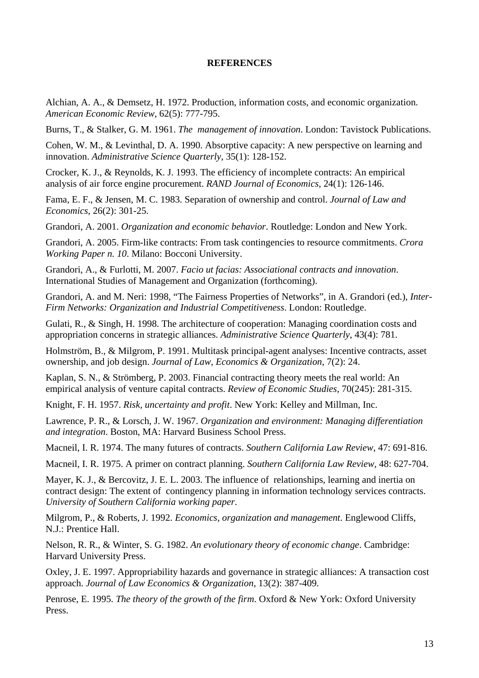#### **REFERENCES**

Alchian, A. A., & Demsetz, H. 1972. Production, information costs, and economic organization. *American Economic Review*, 62(5): 777-795.

Burns, T., & Stalker, G. M. 1961. *The management of innovation*. London: Tavistock Publications.

Cohen, W. M., & Levinthal, D. A. 1990. Absorptive capacity: A new perspective on learning and innovation. *Administrative Science Quarterly*, 35(1): 128-152.

Crocker, K. J., & Reynolds, K. J. 1993. The efficiency of incomplete contracts: An empirical analysis of air force engine procurement. *RAND Journal of Economics*, 24(1): 126-146.

Fama, E. F., & Jensen, M. C. 1983. Separation of ownership and control. *Journal of Law and Economics*, 26(2): 301-25.

Grandori, A. 2001. *Organization and economic behavior*. Routledge: London and New York.

Grandori, A. 2005. Firm-like contracts: From task contingencies to resource commitments. *Crora Working Paper n. 10*. Milano: Bocconi University.

Grandori, A., & Furlotti, M. 2007. *Facio ut facias: Associational contracts and innovation*. International Studies of Management and Organization (forthcoming).

Grandori, A. and M. Neri: 1998, "The Fairness Properties of Networks", in A. Grandori (ed.), *Inter-Firm Networks: Organization and Industrial Competitiveness*. London: Routledge.

Gulati, R., & Singh, H. 1998. The architecture of cooperation: Managing coordination costs and appropriation concerns in strategic alliances. *Administrative Science Quarterly*, 43(4): 781.

Holmström, B., & Milgrom, P. 1991. Multitask principal-agent analyses: Incentive contracts, asset ownership, and job design. *Journal of Law, Economics & Organization*, 7(2): 24.

Kaplan, S. N., & Strömberg, P. 2003. Financial contracting theory meets the real world: An empirical analysis of venture capital contracts. *Review of Economic Studies*, 70(245): 281-315.

Knight, F. H. 1957. *Risk, uncertainty and profit*. New York: Kelley and Millman, Inc.

Lawrence, P. R., & Lorsch, J. W. 1967. *Organization and environment: Managing differentiation and integration*. Boston, MA: Harvard Business School Press.

Macneil, I. R. 1974. The many futures of contracts. *Southern California Law Review*, 47: 691-816.

Macneil, I. R. 1975. A primer on contract planning. *Southern California Law Review*, 48: 627-704.

Mayer, K. J., & Bercovitz, J. E. L. 2003. The influence of relationships, learning and inertia on contract design: The extent of contingency planning in information technology services contracts. *University of Southern California working paper*.

Milgrom, P., & Roberts, J. 1992. *Economics, organization and management*. Englewood Cliffs, N.J.: Prentice Hall.

Nelson, R. R., & Winter, S. G. 1982. *An evolutionary theory of economic change*. Cambridge: Harvard University Press.

Oxley, J. E. 1997. Appropriability hazards and governance in strategic alliances: A transaction cost approach. *Journal of Law Economics & Organization*, 13(2): 387-409.

Penrose, E. 1995. *The theory of the growth of the firm*. Oxford & New York: Oxford University Press.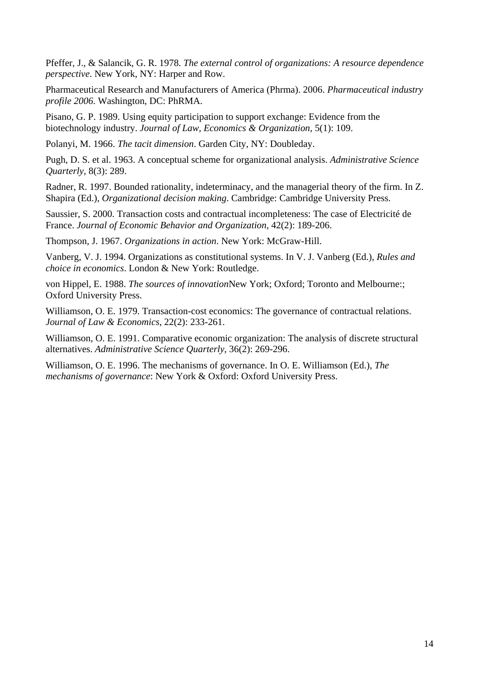Pfeffer, J., & Salancik, G. R. 1978. *The external control of organizations: A resource dependence perspective*. New York, NY: Harper and Row.

Pharmaceutical Research and Manufacturers of America (Phrma). 2006. *Pharmaceutical industry profile 2006*. Washington, DC: PhRMA.

Pisano, G. P. 1989. Using equity participation to support exchange: Evidence from the biotechnology industry. *Journal of Law, Economics & Organization*, 5(1): 109.

Polanyi, M. 1966. *The tacit dimension*. Garden City, NY: Doubleday.

Pugh, D. S. et al. 1963. A conceptual scheme for organizational analysis. *Administrative Science Quarterly*, 8(3): 289.

Radner, R. 1997. Bounded rationality, indeterminacy, and the managerial theory of the firm. In Z. Shapira (Ed.), *Organizational decision making*. Cambridge: Cambridge University Press.

Saussier, S. 2000. Transaction costs and contractual incompleteness: The case of Electricité de France. *Journal of Economic Behavior and Organization*, 42(2): 189-206.

Thompson, J. 1967. *Organizations in action*. New York: McGraw-Hill.

Vanberg, V. J. 1994. Organizations as constitutional systems. In V. J. Vanberg (Ed.), *Rules and choice in economics*. London & New York: Routledge.

von Hippel, E. 1988. *The sources of innovation*New York; Oxford; Toronto and Melbourne:; Oxford University Press.

Williamson, O. E. 1979. Transaction-cost economics: The governance of contractual relations. *Journal of Law & Economics*, 22(2): 233-261.

Williamson, O. E. 1991. Comparative economic organization: The analysis of discrete structural alternatives. *Administrative Science Quarterly*, 36(2): 269-296.

Williamson, O. E. 1996. The mechanisms of governance. In O. E. Williamson (Ed.), *The mechanisms of governance*: New York & Oxford: Oxford University Press.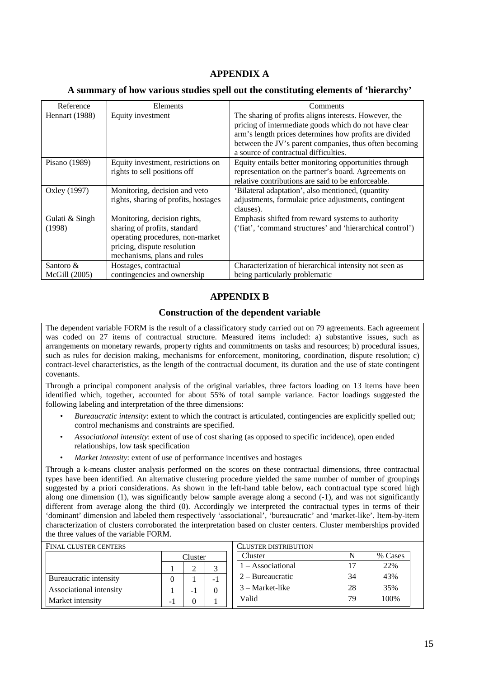# **APPENDIX A**

#### **A summary of how various studies spell out the constituting elements of 'hierarchy'**

| Reference                  | Elements                                                                                                                                                       | Comments                                                                                                                                                                                                                                                                    |
|----------------------------|----------------------------------------------------------------------------------------------------------------------------------------------------------------|-----------------------------------------------------------------------------------------------------------------------------------------------------------------------------------------------------------------------------------------------------------------------------|
| Hennart (1988)             | Equity investment                                                                                                                                              | The sharing of profits aligns interests. However, the<br>pricing of intermediate goods which do not have clear<br>arm's length prices determines how profits are divided<br>between the JV's parent companies, thus often becoming<br>a source of contractual difficulties. |
| Pisano $(1989)$            | Equity investment, restrictions on<br>rights to sell positions off                                                                                             | Equity entails better monitoring opportunities through<br>representation on the partner's board. Agreements on<br>relative contributions are said to be enforceable.                                                                                                        |
| Oxley (1997)               | Monitoring, decision and veto<br>rights, sharing of profits, hostages                                                                                          | 'Bilateral adaptation', also mentioned, (quantity<br>adjustments, formulaic price adjustments, contingent<br>clauses).                                                                                                                                                      |
| Gulati & Singh<br>(1998)   | Monitoring, decision rights,<br>sharing of profits, standard<br>operating procedures, non-market<br>pricing, dispute resolution<br>mechanisms, plans and rules | Emphasis shifted from reward systems to authority<br>('fiat', 'command structures' and 'hierarchical control')                                                                                                                                                              |
| Santoro &<br>McGill (2005) | Hostages, contractual<br>contingencies and ownership                                                                                                           | Characterization of hierarchical intensity not seen as<br>being particularly problematic                                                                                                                                                                                    |

#### **APPENDIX B**

#### **Construction of the dependent variable**

The dependent variable FORM is the result of a classificatory study carried out on 79 agreements. Each agreement was coded on 27 items of contractual structure. Measured items included: a) substantive issues, such as arrangements on monetary rewards, property rights and commitments on tasks and resources; b) procedural issues, such as rules for decision making, mechanisms for enforcement, monitoring, coordination, dispute resolution; c) contract-level characteristics, as the length of the contractual document, its duration and the use of state contingent covenants.

Through a principal component analysis of the original variables, three factors loading on 13 items have been identified which, together, accounted for about 55% of total sample variance. Factor loadings suggested the following labeling and interpretation of the three dimensions:

- *Bureaucratic intensity*: extent to which the contract is articulated, contingencies are explicitly spelled out; control mechanisms and constraints are specified.
- *Associational intensity*: extent of use of cost sharing (as opposed to specific incidence), open ended relationships, low task specification
- *Market intensity:* extent of use of performance incentives and hostages

Through a k-means cluster analysis performed on the scores on these contractual dimensions, three contractual types have been identified. An alternative clustering procedure yielded the same number of number of groupings suggested by a priori considerations. As shown in the left-hand table below, each contractual type scored high along one dimension (1), was significantly below sample average along a second (-1), and was not significantly different from average along the third (0). Accordingly we interpreted the contractual types in terms of their 'dominant' dimension and labeled them respectively 'associational', 'bureaucratic' and 'market-like'. Item-by-item characterization of clusters corroborated the interpretation based on cluster centers. Cluster memberships provided the three values of the variable FORM.

| <b>FINAL CLUSTER CENTERS</b> |         |                   |      | CLUSTER DISTRIBUTION |    |         |  |  |
|------------------------------|---------|-------------------|------|----------------------|----|---------|--|--|
|                              | Cluster |                   |      | Cluster              |    | % Cases |  |  |
|                              |         | $-$ Associational |      | 22%                  |    |         |  |  |
| Bureaucratic intensity       |         |                   | $-1$ | $2 - B$ ureaucratic  | 34 | 43%     |  |  |
| Associational intensity      |         | -                 | 0    | $3 - Market-like$    | 28 | 35%     |  |  |
| Market intensity             | $-1$    |                   |      | Valid                | 79 | 100%    |  |  |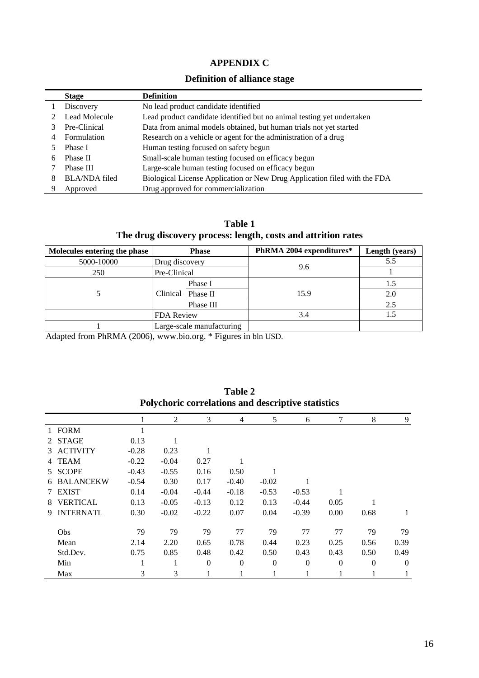# **APPENDIX C**

# **Definition of alliance stage**

|   | <b>Stage</b>         | <b>Definition</b>                                                         |
|---|----------------------|---------------------------------------------------------------------------|
|   | Discovery            | No lead product candidate identified                                      |
|   | Lead Molecule        | Lead product candidate identified but no animal testing yet undertaken    |
|   | Pre-Clinical         | Data from animal models obtained, but human trials not yet started        |
| 4 | Formulation          | Research on a vehicle or agent for the administration of a drug           |
|   | Phase I              | Human testing focused on safety begun                                     |
| 6 | Phase II             | Small-scale human testing focused on efficacy begun                       |
|   | Phase III            | Large-scale human testing focused on efficacy begun                       |
|   | <b>BLA/NDA</b> filed | Biological License Application or New Drug Application filed with the FDA |
|   | Approved             | Drug approved for commercialization                                       |

**Table 1 The drug discovery process: length, costs and attrition rates** 

| Molecules entering the phase | <b>Phase</b>   |                           | PhRMA 2004 expenditures* | Length (years) |
|------------------------------|----------------|---------------------------|--------------------------|----------------|
| 5000-10000                   | Drug discovery |                           |                          | 5.5            |
| 250                          | Pre-Clinical   |                           | 9.6                      |                |
|                              | Clinical       | Phase I                   | 15.9                     |                |
|                              |                | Phase II                  |                          | 2.0            |
|                              |                | Phase III                 |                          | 2.5            |
|                              | FDA Review     |                           | 3.4                      |                |
|                              |                | Large-scale manufacturing |                          |                |

Adapted from PhRMA (2006), www.bio.org. \* Figures in bln USD.

|    |                  |         | 2       | 3        | $\overline{4}$ | 5        | 6            | 7        | 8        | 9              |
|----|------------------|---------|---------|----------|----------------|----------|--------------|----------|----------|----------------|
|    | 1 FORM           |         |         |          |                |          |              |          |          |                |
|    | 2 STAGE          | 0.13    |         |          |                |          |              |          |          |                |
|    | 3 ACTIVITY       | $-0.28$ | 0.23    |          |                |          |              |          |          |                |
|    | 4 TEAM           | $-0.22$ | $-0.04$ | 0.27     |                |          |              |          |          |                |
|    | 5 SCOPE          | $-0.43$ | $-0.55$ | 0.16     | 0.50           |          |              |          |          |                |
| 6  | <b>BALANCEKW</b> | $-0.54$ | 0.30    | 0.17     | $-0.40$        | $-0.02$  |              |          |          |                |
|    | <b>EXIST</b>     | 0.14    | $-0.04$ | $-0.44$  | $-0.18$        | $-0.53$  | $-0.53$      | 1        |          |                |
| 8  | <b>VERTICAL</b>  | 0.13    | $-0.05$ | $-0.13$  | 0.12           | 0.13     | $-0.44$      | 0.05     |          |                |
| 9. | <b>INTERNATL</b> | 0.30    | $-0.02$ | $-0.22$  | 0.07           | 0.04     | $-0.39$      | 0.00     | 0.68     | 1              |
|    |                  |         |         |          |                |          |              |          |          |                |
|    | <b>Obs</b>       | 79      | 79      | 79       | 77             | 79       | 77           | 77       | 79       | 79             |
|    | Mean             | 2.14    | 2.20    | 0.65     | 0.78           | 0.44     | 0.23         | 0.25     | 0.56     | 0.39           |
|    | Std.Dev.         | 0.75    | 0.85    | 0.48     | 0.42           | 0.50     | 0.43         | 0.43     | 0.50     | 0.49           |
|    | Min              |         |         | $\Omega$ | $\theta$       | $\theta$ | $\mathbf{0}$ | $\theta$ | $\Omega$ | $\overline{0}$ |
|    | Max              | 3       | 3       |          |                |          |              |          |          |                |

**Table 2 Polychoric correlations and descriptive statistics**